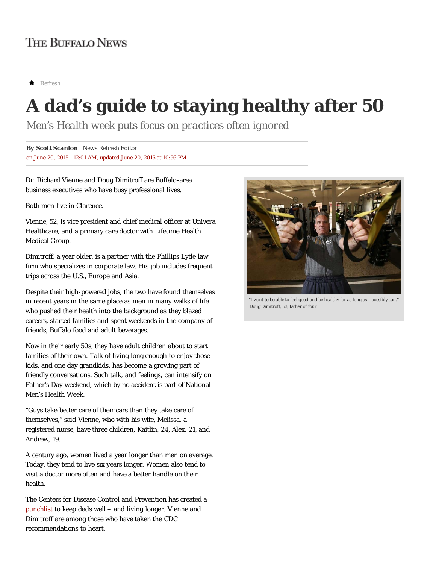# **THE BUFFALO NEWS**

*Refresh*

# **A dad's guide to staying healthy after 50**

*Men's Health week puts focus on practices often ignored*

on June 20, 2015 - 12:01 AM, updated June 20, 2015 at 10:56 PM *By Scott Scanlon | News Refresh Editor*

Dr. Richard Vienne and Doug Dimitroff are Buffalo-area business executives who have busy professional lives.

Both men live in Clarence.

Vienne, 52, is vice president and chief medical officer at Univera Healthcare, and a primary care doctor with Lifetime Health Medical Group.

Dimitroff, a year older, is a partner with the Phillips Lytle law firm who specializes in corporate law. His job includes frequent trips across the U.S., Europe and Asia.

Despite their high-powered jobs, the two have found themselves in recent years in the same place as men in many walks of life who pushed their health into the background as they blazed careers, started families and spent weekends in the company of friends, Buffalo food and adult beverages.

Now in their early 50s, they have adult children about to start families of their own. Talk of living long enough to enjoy those kids, and one day grandkids, has become a growing part of friendly conversations. Such talk, and feelings, can intensify on Father's Day weekend, which by no accident is part of National Men's Health Week.

"Guys take better care of their cars than they take care of themselves," said Vienne, who with his wife, Melissa, a registered nurse, have three children, Kaitlin, 24, Alex, 21, and Andrew, 19.

A century ago, women lived a year longer than men on average. Today, they tend to live six years longer. Women also tend to visit a doctor more often and have a better handle on their health.

The Centers for Disease Control and Prevention has created a punchlist to keep dads well – and living longer. Vienne and Dimitroff are among those who have taken the CDC recommendations to heart.



"I want to be able to feel good and be healthy for as long as I possibly can." Doug Dimitroff, 53, father of four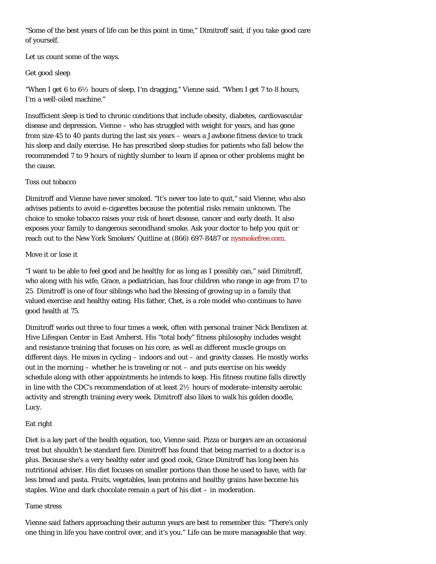"Some of the best years of life can be this point in time," Dimitroff said, if you take good care of yourself.

Let us count some of the ways.

# Get good sleep

"When I get 6 to  $6\frac{1}{2}$  hours of sleep, I'm dragging," Vienne said. "When I get 7 to 8 hours, I'm a well-oiled machine."

Insufficient sleep is tied to chronic conditions that include obesity, diabetes, cardiovascular disease and depression. Vienne – who has struggled with weight for years, and has gone from size 45 to 40 pants during the last six years – wears a Jawbone fitness device to track his sleep and daily exercise. He has prescribed sleep studies for patients who fall below the recommended 7 to 9 hours of nightly slumber to learn if apnea or other problems might be the cause.

#### Toss out tobacco

Dimitroff and Vienne have never smoked. "It's never too late to quit," said Vienne, who also advises patients to avoid e-cigarettes because the potential risks remain unknown. The choice to smoke tobacco raises your risk of heart disease, cancer and early death. It also exposes your family to dangerous secondhand smoke. Ask your doctor to help you quit or reach out to the New York Smokers' Quitline at (866) 697-8487 or nysmokefree.com.

# Move it or lose it

"I want to be able to feel good and be healthy for as long as I possibly can," said Dimitroff, who along with his wife, Grace, a pediatrician, has four children who range in age from 17 to 25. Dimitroff is one of four siblings who had the blessing of growing up in a family that valued exercise and healthy eating. His father, Chet, is a role model who continues to have good health at 75.

Dimitroff works out three to four times a week, often with personal trainer Nick Bendixen at Hive Lifespan Center in East Amherst. His "total body" fitness philosophy includes weight and resistance training that focuses on his core, as well as different muscle groups on different days. He mixes in cycling – indoors and out – and gravity classes. He mostly works out in the morning – whether he is traveling or not – and puts exercise on his weekly schedule along with other appointments he intends to keep. His fitness routine falls directly in line with the CDC's recommendation of at least  $2\frac{1}{2}$  hours of moderate-intensity aerobic activity and strength training every week. Dimitroff also likes to walk his golden doodle, Lucy.

# Eat right

Diet is a key part of the health equation, too, Vienne said. Pizza or burgers are an occasional treat but shouldn't be standard fare. Dimitroff has found that being married to a doctor is a plus. Because she's a very healthy eater and good cook, Grace Dimitroff has long been his nutritional adviser. His diet focuses on smaller portions than those he used to have, with far less bread and pasta. Fruits, vegetables, lean proteins and healthy grains have become his staples. Wine and dark chocolate remain a part of his diet – in moderation.

# Tame stress

Vienne said fathers approaching their autumn years are best to remember this: "There's only one thing in life you have control over, and it's you." Life can be more manageable that way.